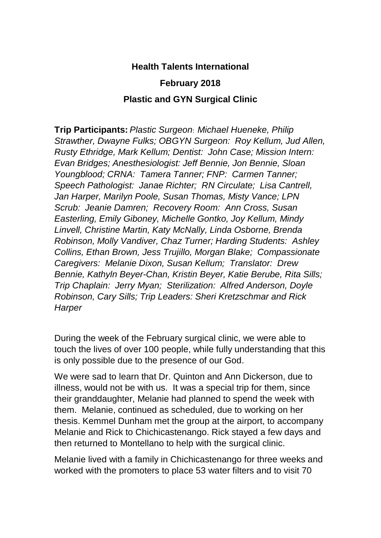## **Health Talents International**

## **February 2018**

## **Plastic and GYN Surgical Clinic**

**Trip Participants:** *Plastic Surgeon*: *Michael Hueneke, Philip Strawther, Dwayne Fulks; OBGYN Surgeon: Roy Kellum, Jud Allen, Rusty Ethridge, Mark Kellum; Dentist: John Case; Mission Intern: Evan Bridges; Anesthesiologist: Jeff Bennie, Jon Bennie, Sloan Youngblood; CRNA: Tamera Tanner; FNP: Carmen Tanner; Speech Pathologist: Janae Richter; RN Circulate; Lisa Cantrell, Jan Harper, Marilyn Poole, Susan Thomas, Misty Vance; LPN Scrub: Jeanie Damren; Recovery Room: Ann Cross, Susan Easterling, Emily Giboney, Michelle Gontko, Joy Kellum, Mindy Linvell, Christine Martin, Katy McNally, Linda Osborne, Brenda Robinson, Molly Vandiver, Chaz Turner; Harding Students: Ashley Collins, Ethan Brown, Jess Trujillo, Morgan Blake; Compassionate Caregivers: Melanie Dixon, Susan Kellum; Translator: Drew Bennie, Kathyln Beyer-Chan, Kristin Beyer, Katie Berube, Rita Sills; Trip Chaplain: Jerry Myan; Sterilization: Alfred Anderson, Doyle Robinson, Cary Sills; Trip Leaders: Sheri Kretzschmar and Rick Harper*

During the week of the February surgical clinic, we were able to touch the lives of over 100 people, while fully understanding that this is only possible due to the presence of our God.

We were sad to learn that Dr. Quinton and Ann Dickerson, due to illness, would not be with us. It was a special trip for them, since their granddaughter, Melanie had planned to spend the week with them. Melanie, continued as scheduled, due to working on her thesis. Kemmel Dunham met the group at the airport, to accompany Melanie and Rick to Chichicastenango. Rick stayed a few days and then returned to Montellano to help with the surgical clinic.

Melanie lived with a family in Chichicastenango for three weeks and worked with the promoters to place 53 water filters and to visit 70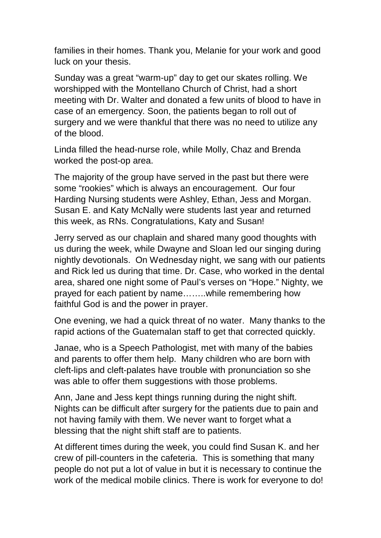families in their homes. Thank you, Melanie for your work and good luck on your thesis.

Sunday was a great "warm-up" day to get our skates rolling. We worshipped with the Montellano Church of Christ, had a short meeting with Dr. Walter and donated a few units of blood to have in case of an emergency. Soon, the patients began to roll out of surgery and we were thankful that there was no need to utilize any of the blood.

Linda filled the head-nurse role, while Molly, Chaz and Brenda worked the post-op area.

The majority of the group have served in the past but there were some "rookies" which is always an encouragement. Our four Harding Nursing students were Ashley, Ethan, Jess and Morgan. Susan E. and Katy McNally were students last year and returned this week, as RNs. Congratulations, Katy and Susan!

Jerry served as our chaplain and shared many good thoughts with us during the week, while Dwayne and Sloan led our singing during nightly devotionals. On Wednesday night, we sang with our patients and Rick led us during that time. Dr. Case, who worked in the dental area, shared one night some of Paul's verses on "Hope." Nighty, we prayed for each patient by name……..while remembering how faithful God is and the power in prayer.

One evening, we had a quick threat of no water. Many thanks to the rapid actions of the Guatemalan staff to get that corrected quickly.

Janae, who is a Speech Pathologist, met with many of the babies and parents to offer them help. Many children who are born with cleft-lips and cleft-palates have trouble with pronunciation so she was able to offer them suggestions with those problems.

Ann, Jane and Jess kept things running during the night shift. Nights can be difficult after surgery for the patients due to pain and not having family with them. We never want to forget what a blessing that the night shift staff are to patients.

At different times during the week, you could find Susan K. and her crew of pill-counters in the cafeteria. This is something that many people do not put a lot of value in but it is necessary to continue the work of the medical mobile clinics. There is work for everyone to do!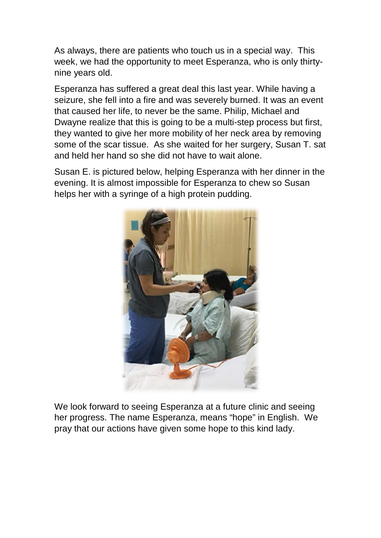As always, there are patients who touch us in a special way. This week, we had the opportunity to meet Esperanza, who is only thirtynine years old.

Esperanza has suffered a great deal this last year. While having a seizure, she fell into a fire and was severely burned. It was an event that caused her life, to never be the same. Philip, Michael and Dwayne realize that this is going to be a multi-step process but first, they wanted to give her more mobility of her neck area by removing some of the scar tissue. As she waited for her surgery, Susan T. sat and held her hand so she did not have to wait alone.

Susan E. is pictured below, helping Esperanza with her dinner in the evening. It is almost impossible for Esperanza to chew so Susan helps her with a syringe of a high protein pudding.



We look forward to seeing Esperanza at a future clinic and seeing her progress. The name Esperanza, means "hope" in English. We pray that our actions have given some hope to this kind lady.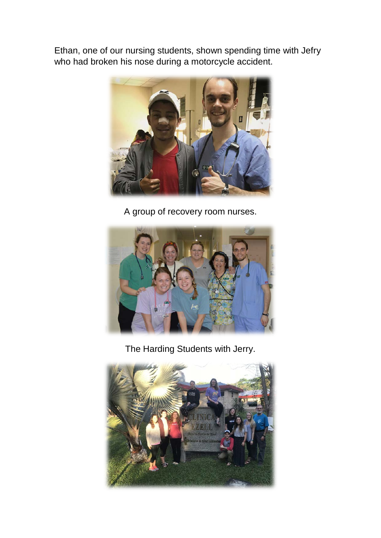Ethan, one of our nursing students, shown spending time with Jefry who had broken his nose during a motorcycle accident.



A group of recovery room nurses.



The Harding Students with Jerry.